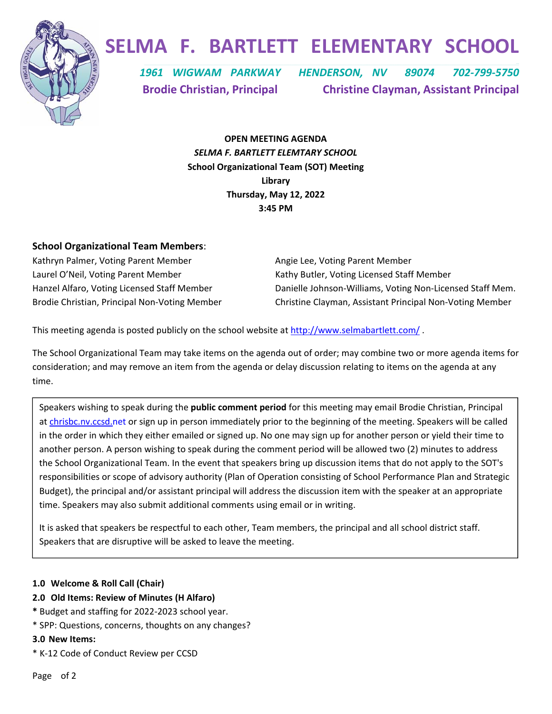

## **SELMA F. BARTLETT ELEMENTARY SCHOOL**

  *1961 WIGWAM PARKWAY HENDERSON, NV 89074 702‐799‐5750*  **Brodie Christian, Principal Christine Clayman, Assistant Principal**

> **OPEN MEETING AGENDA**  *SELMA F. BARTLETT ELEMTARY SCHOOL* **School Organizational Team (SOT) Meeting Library Thursday, May 12, 2022 3:45 PM**

## **School Organizational Team Members**:

Kathryn Palmer, Voting Parent Member **1988** Angie Lee, Voting Parent Member Laurel O'Neil, Voting Parent Member **State Actional State Action** Kathy Butler, Voting Licensed Staff Member

Hanzel Alfaro, Voting Licensed Staff Member Danielle Johnson‐Williams, Voting Non‐Licensed Staff Mem. Brodie Christian, Principal Non‐Voting Member Christine Clayman, Assistant Principal Non‐Voting Member

This meeting agenda is posted publicly on the school website at http://www.selmabartlett.com/ .

The School Organizational Team may take items on the agenda out of order; may combine two or more agenda items for consideration; and may remove an item from the agenda or delay discussion relating to items on the agenda at any time.

Speakers wishing to speak during the **public comment period** for this meeting may email Brodie Christian, Principal at chrisbc.nv.ccsd.net or sign up in person immediately prior to the beginning of the meeting. Speakers will be called in the order in which they either emailed or signed up. No one may sign up for another person or yield their time to another person. A person wishing to speak during the comment period will be allowed two (2) minutes to address the School Organizational Team. In the event that speakers bring up discussion items that do not apply to the SOT's responsibilities or scope of advisory authority (Plan of Operation consisting of School Performance Plan and Strategic Budget), the principal and/or assistant principal will address the discussion item with the speaker at an appropriate time. Speakers may also submit additional comments using email or in writing.

It is asked that speakers be respectful to each other, Team members, the principal and all school district staff. Speakers that are disruptive will be asked to leave the meeting.

## **1.0 Welcome & Roll Call (Chair)**

- **2.0 Old Items: Review of Minutes (H Alfaro)**
- **\*** Budget and staffing for 2022‐2023 school year.
- \* SPP: Questions, concerns, thoughts on any changes?

#### **3.0 New Items:**

\* K‐12 Code of Conduct Review per CCSD